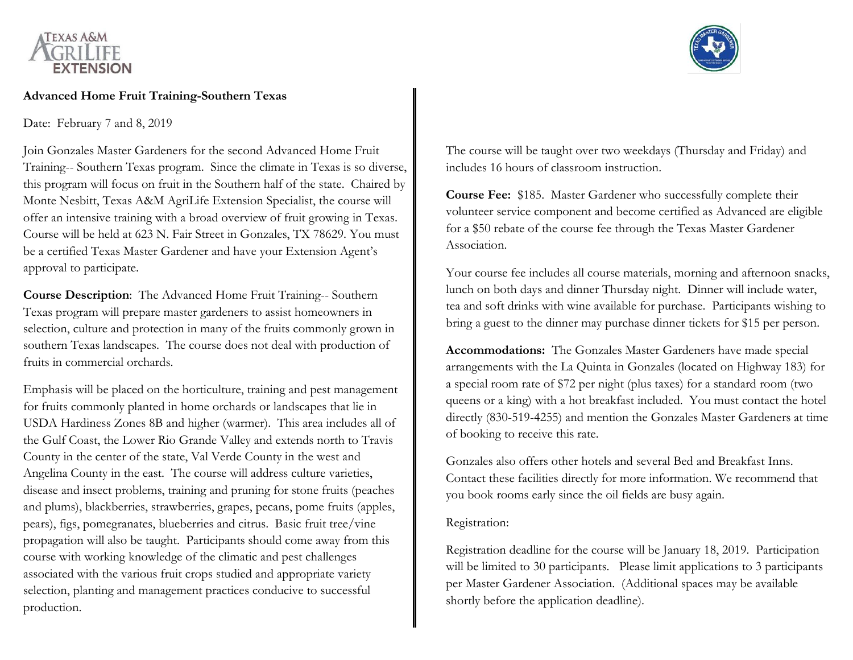

#### **Advanced Home Fruit Training-Southern Texas**

Date: February 7 and 8, 2019

Join Gonzales Master Gardeners for the second Advanced Home Fruit Training-- Southern Texas program. Since the climate in Texas is so diverse, this program will focus on fruit in the Southern half of the state. Chaired by Monte Nesbitt, Texas A&M AgriLife Extension Specialist, the course will offer an intensive training with a broad overview of fruit growing in Texas. Course will be held at 623 N. Fair Street in Gonzales, TX 78629. You must be a certified Texas Master Gardener and have your Extension Agent's approval to participate.

**Course Description**: The Advanced Home Fruit Training-- Southern Texas program will prepare master gardeners to assist homeowners in selection, culture and protection in many of the fruits commonly grown in southern Texas landscapes. The course does not deal with production of fruits in commercial orchards.

Emphasis will be placed on the horticulture, training and pest management for fruits commonly planted in home orchards or landscapes that lie in USDA Hardiness Zones 8B and higher (warmer). This area includes all of the Gulf Coast, the Lower Rio Grande Valley and extends north to Travis County in the center of the state, Val Verde County in the west and Angelina County in the east. The course will address culture varieties, disease and insect problems, training and pruning for stone fruits (peaches and plums), blackberries, strawberries, grapes, pecans, pome fruits (apples, pears), figs, pomegranates, blueberries and citrus. Basic fruit tree/vine propagation will also be taught. Participants should come away from this course with working knowledge of the climatic and pest challenges associated with the various fruit crops studied and appropriate variety selection, planting and management practices conducive to successful production.



The course will be taught over two weekdays (Thursday and Friday) and includes 16 hours of classroom instruction.

**Course Fee:** \$185. Master Gardener who successfully complete their volunteer service component and become certified as Advanced are eligible for a \$50 rebate of the course fee through the Texas Master Gardener Association.

Your course fee includes all course materials, morning and afternoon snacks, lunch on both days and dinner Thursday night. Dinner will include water, tea and soft drinks with wine available for purchase. Participants wishing to bring a guest to the dinner may purchase dinner tickets for \$15 per person.

**Accommodations:** The Gonzales Master Gardeners have made special arrangements with the La Quinta in Gonzales (located on Highway 183) for a special room rate of \$72 per night (plus taxes) for a standard room (two queens or a king) with a hot breakfast included. You must contact the hotel directly (830-519-4255) and mention the Gonzales Master Gardeners at time of booking to receive this rate.

Gonzales also offers other hotels and several Bed and Breakfast Inns. Contact these facilities directly for more information. We recommend that you book rooms early since the oil fields are busy again.

### Registration:

Registration deadline for the course will be January 18, 2019. Participation will be limited to 30 participants. Please limit applications to 3 participants per Master Gardener Association. (Additional spaces may be available shortly before the application deadline).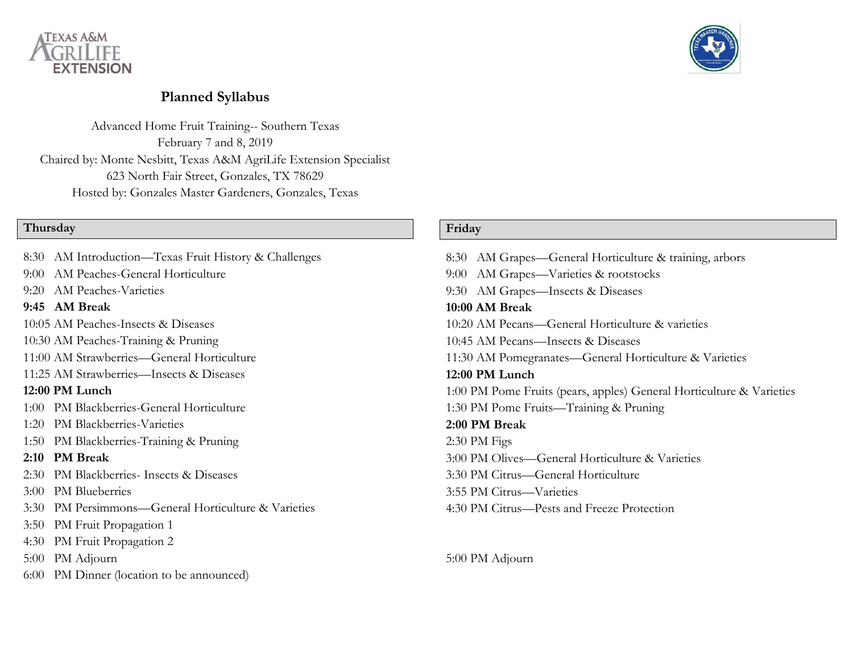



# **Planned Syllabus**

Advanced Home Fruit Training-- Southern Texas February 7 and 8, 2019 Chaired by: Monte Nesbitt, Texas A&M AgriLife Extension Specialist 623 North Fair Street, Gonzales, TX 78629 Hosted by: Gonzales Master Gardeners, Gonzales, Texas

# **Thursday**

|      | 8:30 AM Introduction—Texas Fruit History & Challenges |
|------|-------------------------------------------------------|
|      | 9:00 AM Peaches-General Horticulture                  |
|      | 9:20 AM Peaches-Varieties                             |
|      | 9:45 AM Break                                         |
|      | 10:05 AM Peaches-Insects & Diseases                   |
|      | 10:30 AM Peaches-Training & Pruning                   |
|      | 11:00 AM Strawberries—General Horticulture            |
|      | 11:25 AM Strawberries-Insects & Diseases              |
|      | 12:00 PM Lunch                                        |
|      | 1:00 PM Blackberries-General Horticulture             |
|      | 1:20 PM Blackberries-Varieties                        |
|      | 1:50 PM Blackberries-Training & Pruning               |
|      | 2:10 PM Break                                         |
|      | 2:30 PM Blackberries- Insects & Diseases              |
|      | 3:00 PM Blueberries                                   |
|      | 3:30 PM Persimmons—General Horticulture & Varieties   |
| 3:50 | PM Fruit Propagation 1                                |
|      | 4:30 PM Fruit Propagation 2                           |
|      | 5:00 PM Adjourn                                       |
| 6:00 | PM Dinner (location to be announced)                  |
|      |                                                       |

## **Friday**

| 8:30 AM Grapes—General Horticulture & training, arbors               |
|----------------------------------------------------------------------|
| 9:00 AM Grapes—Varieties & rootstocks                                |
| 9:30 AM Grapes—Insects & Diseases                                    |
| 10:00 AM Break                                                       |
| 10:20 AM Pecans—General Horticulture & varieties                     |
| 10:45 AM Pecans—Insects & Diseases                                   |
| 11:30 AM Pomegranates—General Horticulture & Varieties               |
| 12:00 PM Lunch                                                       |
| 1:00 PM Pome Fruits (pears, apples) General Horticulture & Varieties |
| 1:30 PM Pome Fruits—Training & Pruning                               |
| 2:00 PM Break                                                        |
| $2:30$ PM Figs                                                       |
| 3:00 PM Olives—General Horticulture & Varieties                      |
| 3:30 PM Citrus—General Horticulture                                  |
| 3:55 PM Citrus—Varieties                                             |
| 4:30 PM Citrus—Pests and Freeze Protection                           |
|                                                                      |

5:00 PM Adjourn